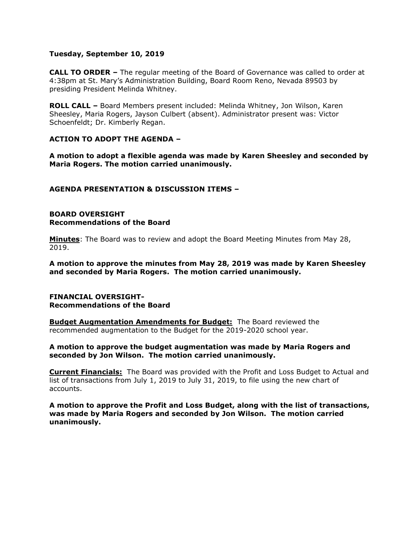### **Tuesday, September 10, 2019**

**CALL TO ORDER –** The regular meeting of the Board of Governance was called to order at 4:38pm at St. Mary's Administration Building, Board Room Reno, Nevada 89503 by presiding President Melinda Whitney.

**ROLL CALL –** Board Members present included: Melinda Whitney, Jon Wilson, Karen Sheesley, Maria Rogers, Jayson Culbert (absent). Administrator present was: Victor Schoenfeldt; Dr. Kimberly Regan.

# **ACTION TO ADOPT THE AGENDA –**

**A motion to adopt a flexible agenda was made by Karen Sheesley and seconded by Maria Rogers. The motion carried unanimously.** 

### **AGENDA PRESENTATION & DISCUSSION ITEMS –**

#### **BOARD OVERSIGHT Recommendations of the Board**

**Minutes**: The Board was to review and adopt the Board Meeting Minutes from May 28, 2019.

**A motion to approve the minutes from May 28, 2019 was made by Karen Sheesley and seconded by Maria Rogers. The motion carried unanimously.**

#### **FINANCIAL OVERSIGHT-Recommendations of the Board**

**Budget Augmentation Amendments for Budget:** The Board reviewed the recommended augmentation to the Budget for the 2019-2020 school year.

### **A motion to approve the budget augmentation was made by Maria Rogers and seconded by Jon Wilson. The motion carried unanimously.**

**Current Financials:** The Board was provided with the Profit and Loss Budget to Actual and list of transactions from July 1, 2019 to July 31, 2019, to file using the new chart of accounts.

**A motion to approve the Profit and Loss Budget, along with the list of transactions, was made by Maria Rogers and seconded by Jon Wilson. The motion carried unanimously.**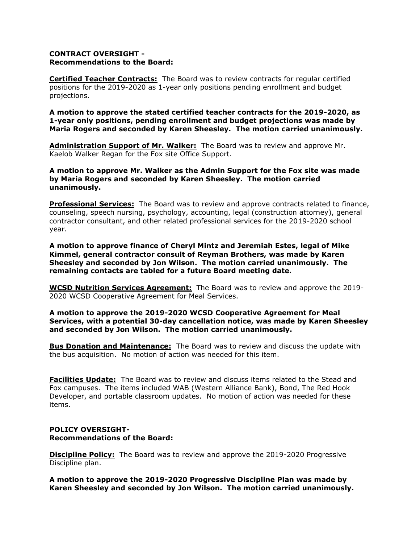# **CONTRACT OVERSIGHT - Recommendations to the Board:**

**Certified Teacher Contracts:** The Board was to review contracts for regular certified positions for the 2019-2020 as 1-year only positions pending enrollment and budget projections.

**A motion to approve the stated certified teacher contracts for the 2019-2020, as 1-year only positions, pending enrollment and budget projections was made by Maria Rogers and seconded by Karen Sheesley. The motion carried unanimously.** 

**Administration Support of Mr. Walker:** The Board was to review and approve Mr. Kaelob Walker Regan for the Fox site Office Support.

**A motion to approve Mr. Walker as the Admin Support for the Fox site was made by Maria Rogers and seconded by Karen Sheesley. The motion carried unanimously.** 

**Professional Services:** The Board was to review and approve contracts related to finance, counseling, speech nursing, psychology, accounting, legal (construction attorney), general contractor consultant, and other related professional services for the 2019-2020 school year.

**A motion to approve finance of Cheryl Mintz and Jeremiah Estes, legal of Mike Kimmel, general contractor consult of Reyman Brothers, was made by Karen Sheesley and seconded by Jon Wilson. The motion carried unanimously. The remaining contacts are tabled for a future Board meeting date.**

**WCSD Nutrition Services Agreement:** The Board was to review and approve the 2019- 2020 WCSD Cooperative Agreement for Meal Services.

**A motion to approve the 2019-2020 WCSD Cooperative Agreement for Meal Services, with a potential 30-day cancellation notice, was made by Karen Sheesley and seconded by Jon Wilson. The motion carried unanimously.** 

**Bus Donation and Maintenance:** The Board was to review and discuss the update with the bus acquisition. No motion of action was needed for this item.

**Facilities Update:** The Board was to review and discuss items related to the Stead and Fox campuses. The items included WAB (Western Alliance Bank), Bond, The Red Hook Developer, and portable classroom updates. No motion of action was needed for these items.

### **POLICY OVERSIGHT-Recommendations of the Board:**

**Discipline Policy:** The Board was to review and approve the 2019-2020 Progressive Discipline plan.

**A motion to approve the 2019-2020 Progressive Discipline Plan was made by Karen Sheesley and seconded by Jon Wilson. The motion carried unanimously.**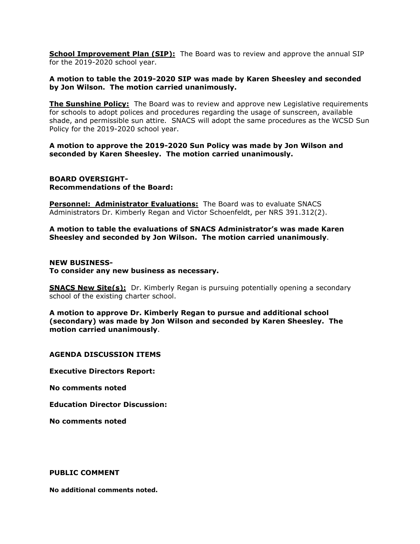**School Improvement Plan (SIP):** The Board was to review and approve the annual SIP for the 2019-2020 school year.

### **A motion to table the 2019-2020 SIP was made by Karen Sheesley and seconded by Jon Wilson. The motion carried unanimously.**

**The Sunshine Policy:** The Board was to review and approve new Legislative requirements for schools to adopt polices and procedures regarding the usage of sunscreen, available shade, and permissible sun attire. SNACS will adopt the same procedures as the WCSD Sun Policy for the 2019-2020 school year.

**A motion to approve the 2019-2020 Sun Policy was made by Jon Wilson and seconded by Karen Sheesley. The motion carried unanimously.** 

### **BOARD OVERSIGHT-Recommendations of the Board:**

**Personnel: Administrator Evaluations:** The Board was to evaluate SNACS Administrators Dr. Kimberly Regan and Victor Schoenfeldt, per NRS 391.312(2).

**A motion to table the evaluations of SNACS Administrator's was made Karen Sheesley and seconded by Jon Wilson. The motion carried unanimously**.

### **NEW BUSINESS-To consider any new business as necessary.**

**SNACS New Site(s):** Dr. Kimberly Regan is pursuing potentially opening a secondary school of the existing charter school.

**A motion to approve Dr. Kimberly Regan to pursue and additional school (secondary) was made by Jon Wilson and seconded by Karen Sheesley. The motion carried unanimously**.

# **AGENDA DISCUSSION ITEMS**

**Executive Directors Report:** 

**No comments noted**

**Education Director Discussion:** 

**No comments noted** 

### **PUBLIC COMMENT**

**No additional comments noted.**